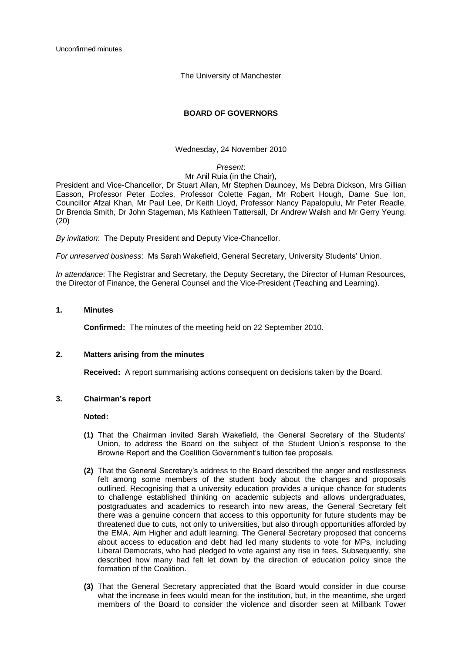Unconfirmed minutes

The University of Manchester

# **BOARD OF GOVERNORS**

Wednesday, 24 November 2010

### *Present*:

### Mr Anil Ruia (in the Chair),

President and Vice-Chancellor, Dr Stuart Allan, Mr Stephen Dauncey, Ms Debra Dickson, Mrs Gillian Easson, Professor Peter Eccles, Professor Colette Fagan, Mr Robert Hough, Dame Sue Ion, Councillor Afzal Khan, Mr Paul Lee, Dr Keith Lloyd, Professor Nancy Papalopulu, Mr Peter Readle, Dr Brenda Smith, Dr John Stageman, Ms Kathleen Tattersall, Dr Andrew Walsh and Mr Gerry Yeung. (20)

*By invitation*: The Deputy President and Deputy Vice-Chancellor.

*For unreserved business*: Ms Sarah Wakefield, General Secretary, University Students" Union.

*In attendance*: The Registrar and Secretary, the Deputy Secretary, the Director of Human Resources, the Director of Finance, the General Counsel and the Vice-President (Teaching and Learning).

## **1. Minutes**

**Confirmed:** The minutes of the meeting held on 22 September 2010.

### **2. Matters arising from the minutes**

**Received:** A report summarising actions consequent on decisions taken by the Board.

# **3. Chairman's report**

### **Noted:**

- **(1)** That the Chairman invited Sarah Wakefield, the General Secretary of the Students" Union, to address the Board on the subject of the Student Union"s response to the Browne Report and the Coalition Government's tuition fee proposals.
- **(2)** That the General Secretary"s address to the Board described the anger and restlessness felt among some members of the student body about the changes and proposals outlined. Recognising that a university education provides a unique chance for students to challenge established thinking on academic subjects and allows undergraduates, postgraduates and academics to research into new areas, the General Secretary felt there was a genuine concern that access to this opportunity for future students may be threatened due to cuts, not only to universities, but also through opportunities afforded by the EMA, Aim Higher and adult learning. The General Secretary proposed that concerns about access to education and debt had led many students to vote for MPs, including Liberal Democrats, who had pledged to vote against any rise in fees. Subsequently, she described how many had felt let down by the direction of education policy since the formation of the Coalition.
- **(3)** That the General Secretary appreciated that the Board would consider in due course what the increase in fees would mean for the institution, but, in the meantime, she urged members of the Board to consider the violence and disorder seen at Millbank Tower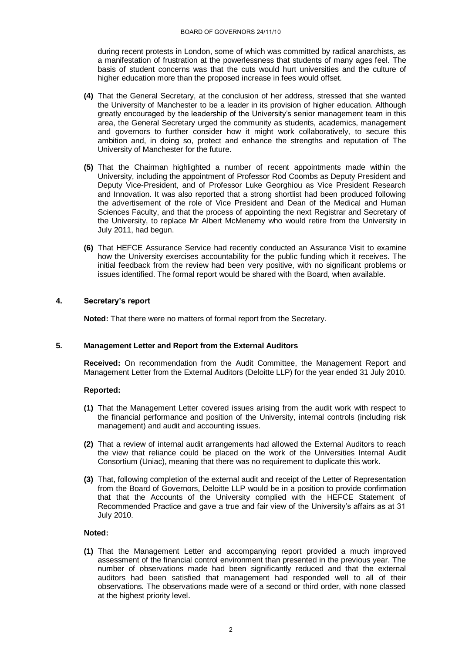during recent protests in London, some of which was committed by radical anarchists, as a manifestation of frustration at the powerlessness that students of many ages feel. The basis of student concerns was that the cuts would hurt universities and the culture of higher education more than the proposed increase in fees would offset.

- **(4)** That the General Secretary, at the conclusion of her address, stressed that she wanted the University of Manchester to be a leader in its provision of higher education. Although greatly encouraged by the leadership of the University's senior management team in this area, the General Secretary urged the community as students, academics, management and governors to further consider how it might work collaboratively, to secure this ambition and, in doing so, protect and enhance the strengths and reputation of The University of Manchester for the future.
- **(5)** That the Chairman highlighted a number of recent appointments made within the University, including the appointment of Professor Rod Coombs as Deputy President and Deputy Vice-President, and of Professor Luke Georghiou as Vice President Research and Innovation. It was also reported that a strong shortlist had been produced following the advertisement of the role of Vice President and Dean of the Medical and Human Sciences Faculty, and that the process of appointing the next Registrar and Secretary of the University, to replace Mr Albert McMenemy who would retire from the University in July 2011, had begun.
- **(6)** That HEFCE Assurance Service had recently conducted an Assurance Visit to examine how the University exercises accountability for the public funding which it receives. The initial feedback from the review had been very positive, with no significant problems or issues identified. The formal report would be shared with the Board, when available.

## **4. Secretary's report**

**Noted:** That there were no matters of formal report from the Secretary.

## **5. Management Letter and Report from the External Auditors**

**Received:** On recommendation from the Audit Committee, the Management Report and Management Letter from the External Auditors (Deloitte LLP) for the year ended 31 July 2010.

### **Reported:**

- **(1)** That the Management Letter covered issues arising from the audit work with respect to the financial performance and position of the University, internal controls (including risk management) and audit and accounting issues.
- **(2)** That a review of internal audit arrangements had allowed the External Auditors to reach the view that reliance could be placed on the work of the Universities Internal Audit Consortium (Uniac), meaning that there was no requirement to duplicate this work.
- **(3)** That, following completion of the external audit and receipt of the Letter of Representation from the Board of Governors, Deloitte LLP would be in a position to provide confirmation that that the Accounts of the University complied with the HEFCE Statement of Recommended Practice and gave a true and fair view of the University"s affairs as at 31 July 2010.

## **Noted:**

**(1)** That the Management Letter and accompanying report provided a much improved assessment of the financial control environment than presented in the previous year. The number of observations made had been significantly reduced and that the external auditors had been satisfied that management had responded well to all of their observations. The observations made were of a second or third order, with none classed at the highest priority level.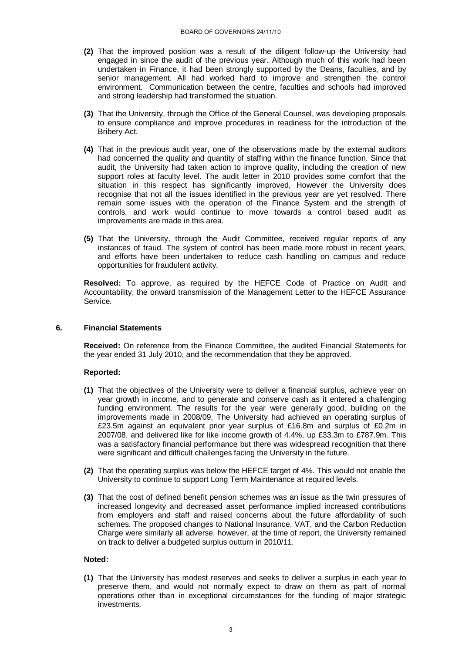- **(2)** That the improved position was a result of the diligent follow-up the University had engaged in since the audit of the previous year. Although much of this work had been undertaken in Finance, it had been strongly supported by the Deans, faculties, and by senior management. All had worked hard to improve and strengthen the control environment. Communication between the centre, faculties and schools had improved and strong leadership had transformed the situation.
- **(3)** That the University, through the Office of the General Counsel, was developing proposals to ensure compliance and improve procedures in readiness for the introduction of the Bribery Act.
- **(4)** That in the previous audit year, one of the observations made by the external auditors had concerned the quality and quantity of staffing within the finance function. Since that audit, the University had taken action to improve quality, including the creation of new support roles at faculty level. The audit letter in 2010 provides some comfort that the situation in this respect has significantly improved, However the University does recognise that not all the issues identified in the previous year are yet resolved. There remain some issues with the operation of the Finance System and the strength of controls, and work would continue to move towards a control based audit as improvements are made in this area.
- **(5)** That the University, through the Audit Committee, received regular reports of any instances of fraud. The system of control has been made more robust in recent years, and efforts have been undertaken to reduce cash handling on campus and reduce opportunities for fraudulent activity.

**Resolved:** To approve, as required by the HEFCE Code of Practice on Audit and Accountability, the onward transmission of the Management Letter to the HEFCE Assurance Service.

### **6. Financial Statements**

**Received:** On reference from the Finance Committee, the audited Financial Statements for the year ended 31 July 2010, and the recommendation that they be approved.

### **Reported:**

- **(1)** That the objectives of the University were to deliver a financial surplus, achieve year on year growth in income, and to generate and conserve cash as it entered a challenging funding environment. The results for the year were generally good, building on the improvements made in 2008/09, The University had achieved an operating surplus of £23.5m against an equivalent prior year surplus of £16.8m and surplus of £0.2m in 2007/08, and delivered like for like income growth of 4.4%, up £33.3m to £787.9m. This was a satisfactory financial performance but there was widespread recognition that there were significant and difficult challenges facing the University in the future.
- **(2)** That the operating surplus was below the HEFCE target of 4%. This would not enable the University to continue to support Long Term Maintenance at required levels.
- **(3)** That the cost of defined benefit pension schemes was an issue as the twin pressures of increased longevity and decreased asset performance implied increased contributions from employers and staff and raised concerns about the future affordability of such schemes. The proposed changes to National Insurance, VAT, and the Carbon Reduction Charge were similarly all adverse, however, at the time of report, the University remained on track to deliver a budgeted surplus outturn in 2010/11.

#### **Noted:**

**(1)** That the University has modest reserves and seeks to deliver a surplus in each year to preserve them, and would not normally expect to draw on them as part of normal operations other than in exceptional circumstances for the funding of major strategic investments.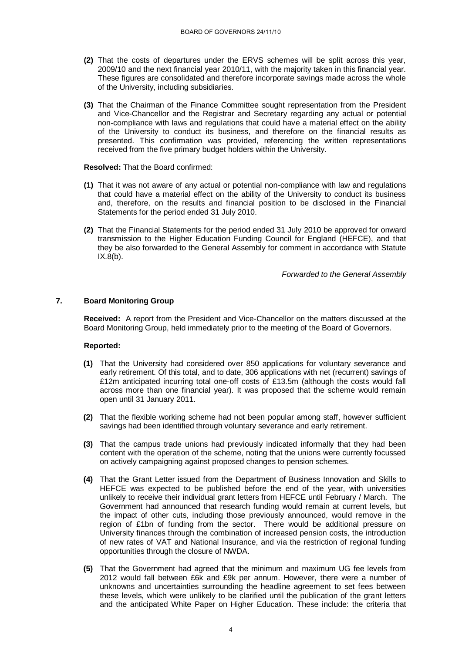- **(2)** That the costs of departures under the ERVS schemes will be split across this year, 2009/10 and the next financial year 2010/11, with the majority taken in this financial year. These figures are consolidated and therefore incorporate savings made across the whole of the University, including subsidiaries.
- **(3)** That the Chairman of the Finance Committee sought representation from the President and Vice-Chancellor and the Registrar and Secretary regarding any actual or potential non-compliance with laws and regulations that could have a material effect on the ability of the University to conduct its business, and therefore on the financial results as presented. This confirmation was provided, referencing the written representations received from the five primary budget holders within the University.

#### **Resolved:** That the Board confirmed:

- **(1)** That it was not aware of any actual or potential non-compliance with law and regulations that could have a material effect on the ability of the University to conduct its business and, therefore, on the results and financial position to be disclosed in the Financial Statements for the period ended 31 July 2010.
- **(2)** That the Financial Statements for the period ended 31 July 2010 be approved for onward transmission to the Higher Education Funding Council for England (HEFCE), and that they be also forwarded to the General Assembly for comment in accordance with Statute  $IX.8(b)$ .

*Forwarded to the General Assembly*

## **7. Board Monitoring Group**

**Received:** A report from the President and Vice-Chancellor on the matters discussed at the Board Monitoring Group, held immediately prior to the meeting of the Board of Governors.

- **(1)** That the University had considered over 850 applications for voluntary severance and early retirement. Of this total, and to date, 306 applications with net (recurrent) savings of £12m anticipated incurring total one-off costs of £13.5m (although the costs would fall across more than one financial year). It was proposed that the scheme would remain open until 31 January 2011.
- **(2)** That the flexible working scheme had not been popular among staff, however sufficient savings had been identified through voluntary severance and early retirement.
- **(3)** That the campus trade unions had previously indicated informally that they had been content with the operation of the scheme, noting that the unions were currently focussed on actively campaigning against proposed changes to pension schemes.
- **(4)** That the Grant Letter issued from the Department of Business Innovation and Skills to HEFCE was expected to be published before the end of the year, with universities unlikely to receive their individual grant letters from HEFCE until February / March. The Government had announced that research funding would remain at current levels, but the impact of other cuts, including those previously announced, would remove in the region of £1bn of funding from the sector. There would be additional pressure on University finances through the combination of increased pension costs, the introduction of new rates of VAT and National Insurance, and via the restriction of regional funding opportunities through the closure of NWDA.
- **(5)** That the Government had agreed that the minimum and maximum UG fee levels from 2012 would fall between £6k and £9k per annum. However, there were a number of unknowns and uncertainties surrounding the headline agreement to set fees between these levels, which were unlikely to be clarified until the publication of the grant letters and the anticipated White Paper on Higher Education. These include: the criteria that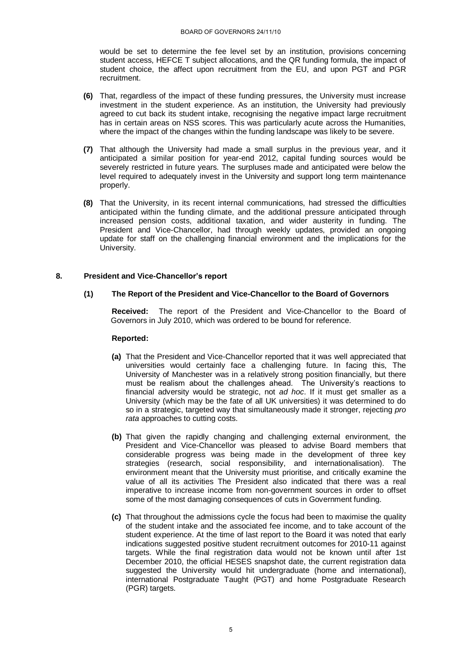would be set to determine the fee level set by an institution, provisions concerning student access, HEFCE T subject allocations, and the QR funding formula, the impact of student choice, the affect upon recruitment from the EU, and upon PGT and PGR recruitment.

- **(6)** That, regardless of the impact of these funding pressures, the University must increase investment in the student experience. As an institution, the University had previously agreed to cut back its student intake, recognising the negative impact large recruitment has in certain areas on NSS scores. This was particularly acute across the Humanities, where the impact of the changes within the funding landscape was likely to be severe.
- **(7)** That although the University had made a small surplus in the previous year, and it anticipated a similar position for year-end 2012, capital funding sources would be severely restricted in future years. The surpluses made and anticipated were below the level required to adequately invest in the University and support long term maintenance properly.
- **(8)** That the University, in its recent internal communications, had stressed the difficulties anticipated within the funding climate, and the additional pressure anticipated through increased pension costs, additional taxation, and wider austerity in funding. The President and Vice-Chancellor, had through weekly updates, provided an ongoing update for staff on the challenging financial environment and the implications for the University.

## **8. President and Vice-Chancellor's report**

### **(1) The Report of the President and Vice-Chancellor to the Board of Governors**

**Received:** The report of the President and Vice-Chancellor to the Board of Governors in July 2010, which was ordered to be bound for reference.

- **(a)** That the President and Vice-Chancellor reported that it was well appreciated that universities would certainly face a challenging future. In facing this, The University of Manchester was in a relatively strong position financially, but there must be realism about the challenges ahead. The University's reactions to financial adversity would be strategic, not *ad hoc*. If it must get smaller as a University (which may be the fate of all UK universities) it was determined to do so in a strategic, targeted way that simultaneously made it stronger, rejecting *pro rata* approaches to cutting costs.
- **(b)** That given the rapidly changing and challenging external environment, the President and Vice-Chancellor was pleased to advise Board members that considerable progress was being made in the development of three key strategies (research, social responsibility, and internationalisation). The environment meant that the University must prioritise, and critically examine the value of all its activities The President also indicated that there was a real imperative to increase income from non-government sources in order to offset some of the most damaging consequences of cuts in Government funding.
- **(c)** That throughout the admissions cycle the focus had been to maximise the quality of the student intake and the associated fee income, and to take account of the student experience. At the time of last report to the Board it was noted that early indications suggested positive student recruitment outcomes for 2010-11 against targets. While the final registration data would not be known until after 1st December 2010, the official HESES snapshot date, the current registration data suggested the University would hit undergraduate (home and international), international Postgraduate Taught (PGT) and home Postgraduate Research (PGR) targets.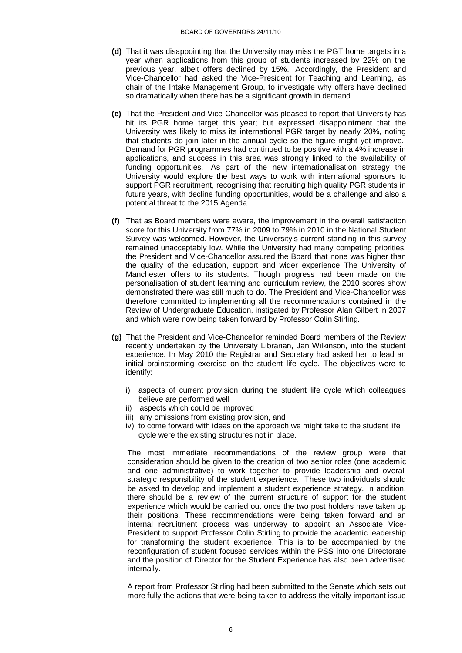- **(d)** That it was disappointing that the University may miss the PGT home targets in a year when applications from this group of students increased by 22% on the previous year, albeit offers declined by 15%. Accordingly, the President and Vice-Chancellor had asked the Vice-President for Teaching and Learning, as chair of the Intake Management Group, to investigate why offers have declined so dramatically when there has be a significant growth in demand.
- **(e)** That the President and Vice-Chancellor was pleased to report that University has hit its PGR home target this year; but expressed disappointment that the University was likely to miss its international PGR target by nearly 20%, noting that students do join later in the annual cycle so the figure might yet improve. Demand for PGR programmes had continued to be positive with a 4% increase in applications, and success in this area was strongly linked to the availability of funding opportunities. As part of the new internationalisation strategy the University would explore the best ways to work with international sponsors to support PGR recruitment, recognising that recruiting high quality PGR students in future years, with decline funding opportunities, would be a challenge and also a potential threat to the 2015 Agenda.
- **(f)** That as Board members were aware, the improvement in the overall satisfaction score for this University from 77% in 2009 to 79% in 2010 in the National Student Survey was welcomed. However, the University"s current standing in this survey remained unacceptably low. While the University had many competing priorities, the President and Vice-Chancellor assured the Board that none was higher than the quality of the education, support and wider experience The University of Manchester offers to its students. Though progress had been made on the personalisation of student learning and curriculum review, the 2010 scores show demonstrated there was still much to do. The President and Vice-Chancellor was therefore committed to implementing all the recommendations contained in the Review of Undergraduate Education, instigated by Professor Alan Gilbert in 2007 and which were now being taken forward by Professor Colin Stirling.
- **(g)** That the President and Vice-Chancellor reminded Board members of the Review recently undertaken by the University Librarian, Jan Wilkinson, into the student experience. In May 2010 the Registrar and Secretary had asked her to lead an initial brainstorming exercise on the student life cycle. The objectives were to identify:
	- i) aspects of current provision during the student life cycle which colleagues believe are performed well
	- ii) aspects which could be improved
	- iii) any omissions from existing provision, and
	- iv) to come forward with ideas on the approach we might take to the student life cycle were the existing structures not in place.

The most immediate recommendations of the review group were that consideration should be given to the creation of two senior roles (one academic and one administrative) to work together to provide leadership and overall strategic responsibility of the student experience. These two individuals should be asked to develop and implement a student experience strategy. In addition, there should be a review of the current structure of support for the student experience which would be carried out once the two post holders have taken up their positions. These recommendations were being taken forward and an internal recruitment process was underway to appoint an Associate Vice-President to support Professor Colin Stirling to provide the academic leadership for transforming the student experience. This is to be accompanied by the reconfiguration of student focused services within the PSS into one Directorate and the position of Director for the Student Experience has also been advertised internally.

A report from Professor Stirling had been submitted to the Senate which sets out more fully the actions that were being taken to address the vitally important issue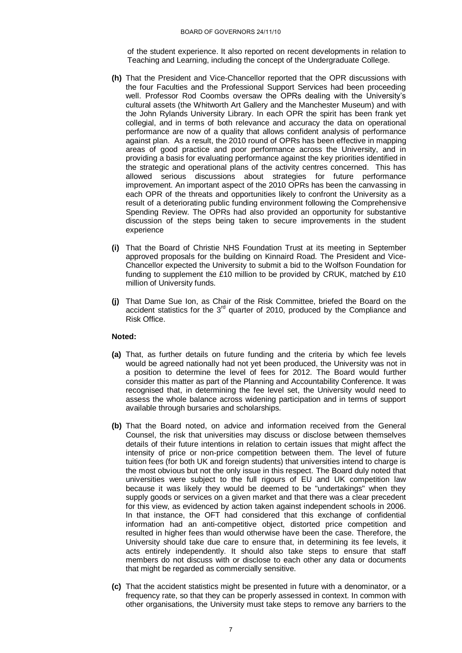of the student experience. It also reported on recent developments in relation to Teaching and Learning, including the concept of the Undergraduate College.

- **(h)** That the President and Vice-Chancellor reported that the OPR discussions with the four Faculties and the Professional Support Services had been proceeding well. Professor Rod Coombs oversaw the OPRs dealing with the University's cultural assets (the Whitworth Art Gallery and the Manchester Museum) and with the John Rylands University Library. In each OPR the spirit has been frank yet collegial, and in terms of both relevance and accuracy the data on operational performance are now of a quality that allows confident analysis of performance against plan. As a result, the 2010 round of OPRs has been effective in mapping areas of good practice and poor performance across the University, and in providing a basis for evaluating performance against the key priorities identified in the strategic and operational plans of the activity centres concerned. This has allowed serious discussions about strategies for future performance improvement. An important aspect of the 2010 OPRs has been the canvassing in each OPR of the threats and opportunities likely to confront the University as a result of a deteriorating public funding environment following the Comprehensive Spending Review. The OPRs had also provided an opportunity for substantive discussion of the steps being taken to secure improvements in the student experience
- **(i)** That the Board of Christie NHS Foundation Trust at its meeting in September approved proposals for the building on Kinnaird Road. The President and Vice-Chancellor expected the University to submit a bid to the Wolfson Foundation for funding to supplement the £10 million to be provided by CRUK, matched by £10 million of University funds.
- **(j)** That Dame Sue Ion, as Chair of the Risk Committee, briefed the Board on the accident statistics for the  $3<sup>rd</sup>$  quarter of 2010, produced by the Compliance and Risk Office.

#### **Noted:**

- **(a)** That, as further details on future funding and the criteria by which fee levels would be agreed nationally had not yet been produced, the University was not in a position to determine the level of fees for 2012. The Board would further consider this matter as part of the Planning and Accountability Conference. It was recognised that, in determining the fee level set, the University would need to assess the whole balance across widening participation and in terms of support available through bursaries and scholarships.
- **(b)** That the Board noted, on advice and information received from the General Counsel, the risk that universities may discuss or disclose between themselves details of their future intentions in relation to certain issues that might affect the intensity of price or non-price competition between them. The level of future tuition fees (for both UK and foreign students) that universities intend to charge is the most obvious but not the only issue in this respect. The Board duly noted that universities were subject to the full rigours of EU and UK competition law because it was likely they would be deemed to be "undertakings" when they supply goods or services on a given market and that there was a clear precedent for this view, as evidenced by action taken against independent schools in 2006. In that instance, the OFT had considered that this exchange of confidential information had an anti-competitive object, distorted price competition and resulted in higher fees than would otherwise have been the case. Therefore, the University should take due care to ensure that, in determining its fee levels, it acts entirely independently. It should also take steps to ensure that staff members do not discuss with or disclose to each other any data or documents that might be regarded as commercially sensitive.
- **(c)** That the accident statistics might be presented in future with a denominator, or a frequency rate, so that they can be properly assessed in context. In common with other organisations, the University must take steps to remove any barriers to the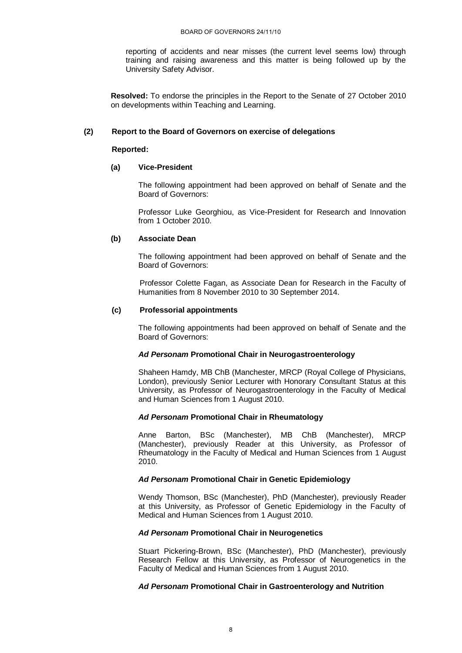reporting of accidents and near misses (the current level seems low) through training and raising awareness and this matter is being followed up by the University Safety Advisor.

**Resolved:** To endorse the principles in the Report to the Senate of 27 October 2010 on developments within Teaching and Learning.

### **(2) Report to the Board of Governors on exercise of delegations**

#### **Reported:**

### **(a) Vice-President**

The following appointment had been approved on behalf of Senate and the Board of Governors:

Professor Luke Georghiou, as Vice-President for Research and Innovation from 1 October 2010.

### **(b) Associate Dean**

The following appointment had been approved on behalf of Senate and the Board of Governors:

Professor Colette Fagan, as Associate Dean for Research in the Faculty of Humanities from 8 November 2010 to 30 September 2014.

## **(c) Professorial appointments**

The following appointments had been approved on behalf of Senate and the Board of Governors:

### *Ad Personam* **Promotional Chair in Neurogastroenterology**

Shaheen Hamdy, MB ChB (Manchester, MRCP (Royal College of Physicians, London), previously Senior Lecturer with Honorary Consultant Status at this University, as Professor of Neurogastroenterology in the Faculty of Medical and Human Sciences from 1 August 2010.

### *Ad Personam* **Promotional Chair in Rheumatology**

Anne Barton, BSc (Manchester), MB ChB (Manchester), MRCP (Manchester), previously Reader at this University, as Professor of Rheumatology in the Faculty of Medical and Human Sciences from 1 August 2010.

# *Ad Personam* **Promotional Chair in Genetic Epidemiology**

Wendy Thomson, BSc (Manchester), PhD (Manchester), previously Reader at this University, as Professor of Genetic Epidemiology in the Faculty of Medical and Human Sciences from 1 August 2010.

### *Ad Personam* **Promotional Chair in Neurogenetics**

Stuart Pickering-Brown, BSc (Manchester), PhD (Manchester), previously Research Fellow at this University, as Professor of Neurogenetics in the Faculty of Medical and Human Sciences from 1 August 2010.

## *Ad Personam* **Promotional Chair in Gastroenterology and Nutrition**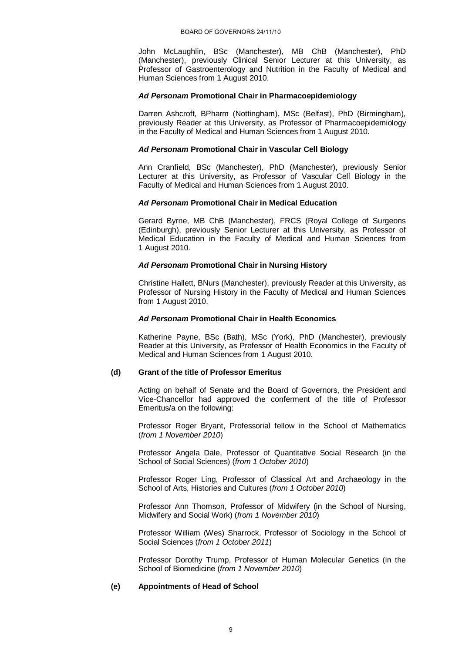John McLaughlin, BSc (Manchester), MB ChB (Manchester), PhD (Manchester), previously Clinical Senior Lecturer at this University, as Professor of Gastroenterology and Nutrition in the Faculty of Medical and Human Sciences from 1 August 2010.

#### *Ad Personam* **Promotional Chair in Pharmacoepidemiology**

Darren Ashcroft, BPharm (Nottingham), MSc (Belfast), PhD (Birmingham), previously Reader at this University, as Professor of Pharmacoepidemiology in the Faculty of Medical and Human Sciences from 1 August 2010.

## *Ad Personam* **Promotional Chair in Vascular Cell Biology**

Ann Cranfield, BSc (Manchester), PhD (Manchester), previously Senior Lecturer at this University, as Professor of Vascular Cell Biology in the Faculty of Medical and Human Sciences from 1 August 2010.

#### *Ad Personam* **Promotional Chair in Medical Education**

Gerard Byrne, MB ChB (Manchester), FRCS (Royal College of Surgeons (Edinburgh), previously Senior Lecturer at this University, as Professor of Medical Education in the Faculty of Medical and Human Sciences from 1 August 2010.

#### *Ad Personam* **Promotional Chair in Nursing History**

Christine Hallett, BNurs (Manchester), previously Reader at this University, as Professor of Nursing History in the Faculty of Medical and Human Sciences from 1 August 2010.

## *Ad Personam* **Promotional Chair in Health Economics**

Katherine Payne, BSc (Bath), MSc (York), PhD (Manchester), previously Reader at this University, as Professor of Health Economics in the Faculty of Medical and Human Sciences from 1 August 2010.

### **(d) Grant of the title of Professor Emeritus**

Acting on behalf of Senate and the Board of Governors, the President and Vice-Chancellor had approved the conferment of the title of Professor Emeritus/a on the following:

Professor Roger Bryant, Professorial fellow in the School of Mathematics (*from 1 November 2010*)

Professor Angela Dale, Professor of Quantitative Social Research (in the School of Social Sciences) (*from 1 October 2010*)

Professor Roger Ling, Professor of Classical Art and Archaeology in the School of Arts, Histories and Cultures (*from 1 October 2010*)

Professor Ann Thomson, Professor of Midwifery (in the School of Nursing, Midwifery and Social Work) (*from 1 November 2010*)

Professor William (Wes) Sharrock, Professor of Sociology in the School of Social Sciences (*from 1 October 2011*)

Professor Dorothy Trump, Professor of Human Molecular Genetics (in the School of Biomedicine (*from 1 November 2010*)

### **(e) Appointments of Head of School**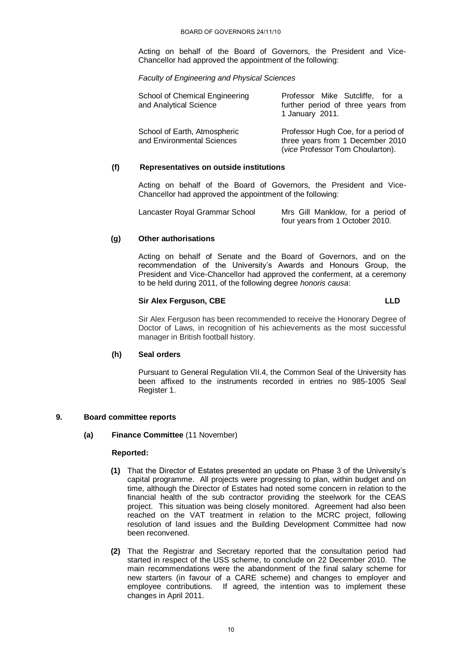Acting on behalf of the Board of Governors, the President and Vice-Chancellor had approved the appointment of the following:

*Faculty of Engineering and Physical Sciences*

| School of Chemical Engineering<br>and Analytical Science   | Professor Mike Sutcliffe, for a<br>further period of three years from<br>1 January 2011.                    |
|------------------------------------------------------------|-------------------------------------------------------------------------------------------------------------|
| School of Earth, Atmospheric<br>and Environmental Sciences | Professor Hugh Coe, for a period of<br>three years from 1 December 2010<br>(vice Professor Tom Choularton). |

#### **(f) Representatives on outside institutions**

Acting on behalf of the Board of Governors, the President and Vice-Chancellor had approved the appointment of the following:

| Lancaster Royal Grammar School | Mrs Gill Manklow, for a period of |
|--------------------------------|-----------------------------------|
|                                | four years from 1 October 2010.   |

#### **(g) Other authorisations**

Acting on behalf of Senate and the Board of Governors, and on the recommendation of the University's Awards and Honours Group, the President and Vice-Chancellor had approved the conferment, at a ceremony to be held during 2011, of the following degree *honoris causa*:

# **Sir Alex Ferguson, CBE LLD**

Sir Alex Ferguson has been recommended to receive the Honorary Degree of Doctor of Laws, in recognition of his achievements as the most successful manager in British football history.

### **(h) Seal orders**

Pursuant to General Regulation VII.4, the Common Seal of the University has been affixed to the instruments recorded in entries no 985-1005 Seal Register 1.

### **9. Board committee reports**

**(a) Finance Committee** (11 November)

- **(1)** That the Director of Estates presented an update on Phase 3 of the University"s capital programme. All projects were progressing to plan, within budget and on time, although the Director of Estates had noted some concern in relation to the financial health of the sub contractor providing the steelwork for the CEAS project. This situation was being closely monitored. Agreement had also been reached on the VAT treatment in relation to the MCRC project, following resolution of land issues and the Building Development Committee had now been reconvened.
- **(2)** That the Registrar and Secretary reported that the consultation period had started in respect of the USS scheme, to conclude on 22 December 2010. The main recommendations were the abandonment of the final salary scheme for new starters (in favour of a CARE scheme) and changes to employer and employee contributions. If agreed, the intention was to implement these changes in April 2011.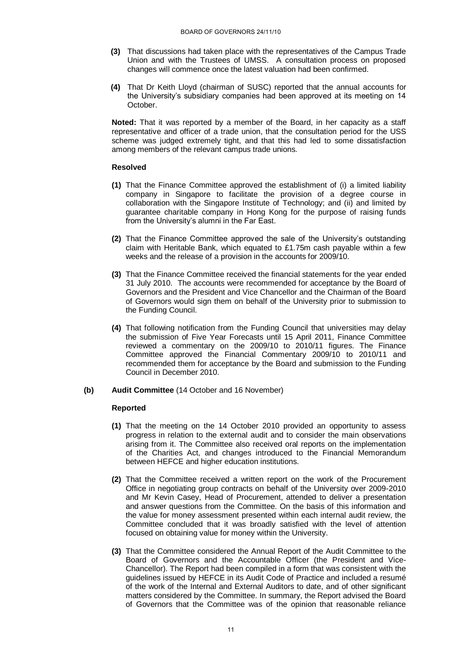- **(3)** That discussions had taken place with the representatives of the Campus Trade Union and with the Trustees of UMSS. A consultation process on proposed changes will commence once the latest valuation had been confirmed.
- **(4)** That Dr Keith Lloyd (chairman of SUSC) reported that the annual accounts for the University's subsidiary companies had been approved at its meeting on 14 October.

**Noted:** That it was reported by a member of the Board, in her capacity as a staff representative and officer of a trade union, that the consultation period for the USS scheme was judged extremely tight, and that this had led to some dissatisfaction among members of the relevant campus trade unions.

#### **Resolved**

- **(1)** That the Finance Committee approved the establishment of (i) a limited liability company in Singapore to facilitate the provision of a degree course in collaboration with the Singapore Institute of Technology; and (ii) and limited by guarantee charitable company in Hong Kong for the purpose of raising funds from the University's alumni in the Far East.
- **(2)** That the Finance Committee approved the sale of the University"s outstanding claim with Heritable Bank, which equated to £1.75m cash payable within a few weeks and the release of a provision in the accounts for 2009/10.
- **(3)** That the Finance Committee received the financial statements for the year ended 31 July 2010. The accounts were recommended for acceptance by the Board of Governors and the President and Vice Chancellor and the Chairman of the Board of Governors would sign them on behalf of the University prior to submission to the Funding Council.
- **(4)** That following notification from the Funding Council that universities may delay the submission of Five Year Forecasts until 15 April 2011, Finance Committee reviewed a commentary on the 2009/10 to 2010/11 figures. The Finance Committee approved the Financial Commentary 2009/10 to 2010/11 and recommended them for acceptance by the Board and submission to the Funding Council in December 2010.
- **(b) Audit Committee** (14 October and 16 November)

- **(1)** That the meeting on the 14 October 2010 provided an opportunity to assess progress in relation to the external audit and to consider the main observations arising from it. The Committee also received oral reports on the implementation of the Charities Act, and changes introduced to the Financial Memorandum between HEFCE and higher education institutions.
- **(2)** That the Committee received a written report on the work of the Procurement Office in negotiating group contracts on behalf of the University over 2009-2010 and Mr Kevin Casey, Head of Procurement, attended to deliver a presentation and answer questions from the Committee. On the basis of this information and the value for money assessment presented within each internal audit review, the Committee concluded that it was broadly satisfied with the level of attention focused on obtaining value for money within the University.
- **(3)** That the Committee considered the Annual Report of the Audit Committee to the Board of Governors and the Accountable Officer (the President and Vice-Chancellor). The Report had been compiled in a form that was consistent with the guidelines issued by HEFCE in its Audit Code of Practice and included a resumé of the work of the Internal and External Auditors to date, and of other significant matters considered by the Committee. In summary, the Report advised the Board of Governors that the Committee was of the opinion that reasonable reliance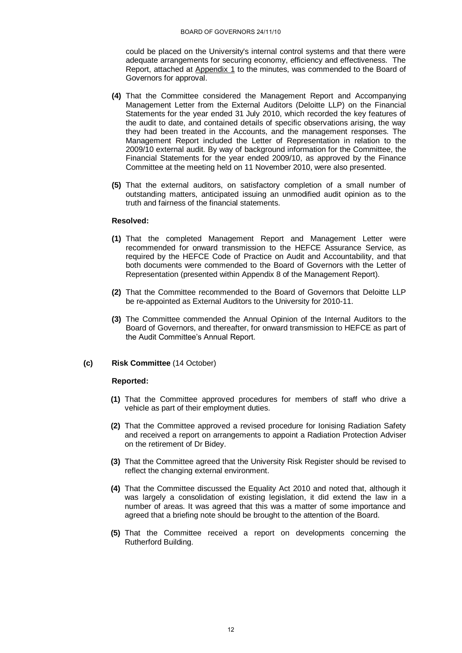could be placed on the University's internal control systems and that there were adequate arrangements for securing economy, efficiency and effectiveness. The Report, attached at Appendix 1 to the minutes, was commended to the Board of Governors for approval.

- **(4)** That the Committee considered the Management Report and Accompanying Management Letter from the External Auditors (Deloitte LLP) on the Financial Statements for the year ended 31 July 2010, which recorded the key features of the audit to date, and contained details of specific observations arising, the way they had been treated in the Accounts, and the management responses. The Management Report included the Letter of Representation in relation to the 2009/10 external audit. By way of background information for the Committee, the Financial Statements for the year ended 2009/10, as approved by the Finance Committee at the meeting held on 11 November 2010, were also presented.
- **(5)** That the external auditors, on satisfactory completion of a small number of outstanding matters, anticipated issuing an unmodified audit opinion as to the truth and fairness of the financial statements.

#### **Resolved:**

- **(1)** That the completed Management Report and Management Letter were recommended for onward transmission to the HEFCE Assurance Service, as required by the HEFCE Code of Practice on Audit and Accountability, and that both documents were commended to the Board of Governors with the Letter of Representation (presented within Appendix 8 of the Management Report).
- **(2)** That the Committee recommended to the Board of Governors that Deloitte LLP be re-appointed as External Auditors to the University for 2010-11.
- **(3)** The Committee commended the Annual Opinion of the Internal Auditors to the Board of Governors, and thereafter, for onward transmission to HEFCE as part of the Audit Committee"s Annual Report.

### **(c) Risk Committee** (14 October)

- **(1)** That the Committee approved procedures for members of staff who drive a vehicle as part of their employment duties.
- **(2)** That the Committee approved a revised procedure for Ionising Radiation Safety and received a report on arrangements to appoint a Radiation Protection Adviser on the retirement of Dr Bidey.
- **(3)** That the Committee agreed that the University Risk Register should be revised to reflect the changing external environment.
- **(4)** That the Committee discussed the Equality Act 2010 and noted that, although it was largely a consolidation of existing legislation, it did extend the law in a number of areas. It was agreed that this was a matter of some importance and agreed that a briefing note should be brought to the attention of the Board.
- **(5)** That the Committee received a report on developments concerning the Rutherford Building.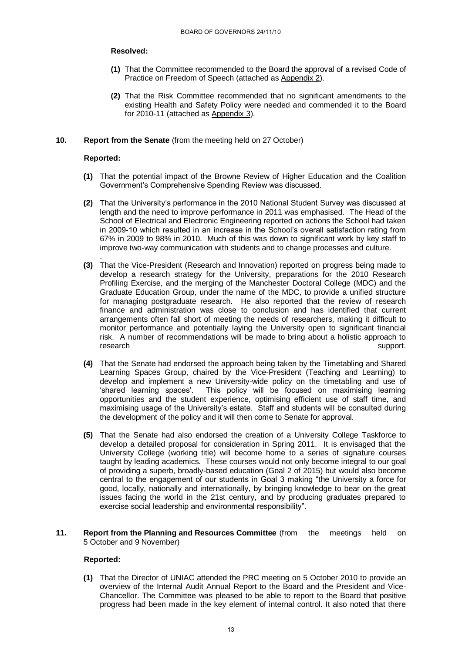#### **Resolved:**

- **(1)** That the Committee recommended to the Board the approval of a revised Code of Practice on Freedom of Speech (attached as Appendix 2).
- **(2)** That the Risk Committee recommended that no significant amendments to the existing Health and Safety Policy were needed and commended it to the Board for 2010-11 (attached as Appendix 3).

### **10. Report from the Senate** (from the meeting held on 27 October)

#### **Reported:**

.

- **(1)** That the potential impact of the Browne Review of Higher Education and the Coalition Government"s Comprehensive Spending Review was discussed.
- **(2)** That the University"s performance in the 2010 National Student Survey was discussed at length and the need to improve performance in 2011 was emphasised. The Head of the School of Electrical and Electronic Engineering reported on actions the School had taken in 2009-10 which resulted in an increase in the School"s overall satisfaction rating from 67% in 2009 to 98% in 2010. Much of this was down to significant work by key staff to improve two-way communication with students and to change processes and culture.
- **(3)** That the Vice-President (Research and Innovation) reported on progress being made to develop a research strategy for the University, preparations for the 2010 Research Profiling Exercise, and the merging of the Manchester Doctoral College (MDC) and the Graduate Education Group, under the name of the MDC, to provide a unified structure for managing postgraduate research. He also reported that the review of research finance and administration was close to conclusion and has identified that current arrangements often fall short of meeting the needs of researchers, making it difficult to monitor performance and potentially laying the University open to significant financial risk. A number of recommendations will be made to bring about a holistic approach to research support. The contract of the contract of the contract of the contract of the contract of the contract of the contract of the contract of the contract of the contract of the contract of the contract of the contract
- **(4)** That the Senate had endorsed the approach being taken by the Timetabling and Shared Learning Spaces Group, chaired by the Vice-President (Teaching and Learning) to develop and implement a new University-wide policy on the timetabling and use of 'shared learning spaces'. This policy will be focused on maximising learning opportunities and the student experience, optimising efficient use of staff time, and maximising usage of the University"s estate. Staff and students will be consulted during the development of the policy and it will then come to Senate for approval.
- **(5)** That the Senate had also endorsed the creation of a University College Taskforce to develop a detailed proposal for consideration in Spring 2011. It is envisaged that the University College (working title) will become home to a series of signature courses taught by leading academics. These courses would not only become integral to our goal of providing a superb, broadly-based education (Goal 2 of 2015) but would also become central to the engagement of our students in Goal 3 making "the University a force for good, locally, nationally and internationally, by bringing knowledge to bear on the great issues facing the world in the 21st century, and by producing graduates prepared to exercise social leadership and environmental responsibility".
- **11. Report from the Planning and Resources Committee** (from the meetings held on 5 October and 9 November)

## **Reported:**

**(1)** That the Director of UNIAC attended the PRC meeting on 5 October 2010 to provide an overview of the Internal Audit Annual Report to the Board and the President and Vice-Chancellor. The Committee was pleased to be able to report to the Board that positive progress had been made in the key element of internal control. It also noted that there